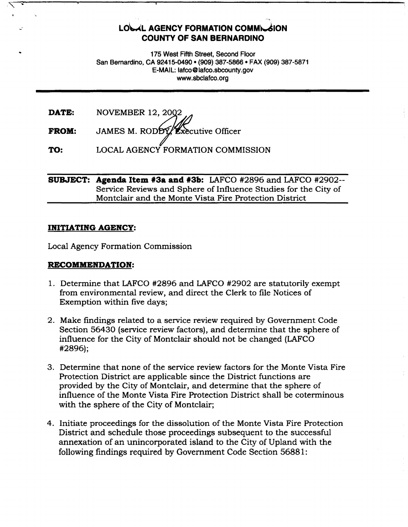# **LOUL AGENCY FORMATION COMMUNION COUNTY OF SAN BERNARDINO**

175 West Fifth Street, Second Floor San Bernardino, CA 92415-0490 • (909) 387-5866 • FAX (909) 387-5871 E-MAIL: latco@lafco.sbcounty.gov www .sbclafco.org

| DATE:        |                                                       |
|--------------|-------------------------------------------------------|
| <b>FROM:</b> | NOVEMBER 12, 2002<br>JAMES M. RODDY Executive Officer |

**TO:**  LOCAL AGENCY FORMATION COMMISSION

# **SUBJECT: Agenda Item #3a and #3b:** LAFCO #2896 and LAFCO #2902-- Service Reviews and Sphere of Influence Studies for the City of Montclair and the Monte Vista Fire Protection District

# **INITIATING AGENCY:**

Local Agency Formation Commission

# **RECOMMENDATION:**

- 1. Determine that LAFCO #2896 and LAFCO #2902 are statutorily exempt from environmental review, and direct the Clerk to file Notices of Exemption within five days;
- 2. Make findings related to a service review required by Government Code Section 56430 (service review factors), and determine that the sphere of influence for the City of Montclair should not be changed (LAFCO #2896);
- 3. Determine that none of the service review factors for the Monte Vista Fire Protection District are applicable since the District functions are provided by the City of Montclair, and determine that the sphere of influence of the Monte Vista Fire Protection District shall be coterminous with the sphere of the City of Montclair;
- 4. Initiate proceedings for the dissolution of the Monte Vista Fire Protection District and schedule those proceedings subsequent to the successful annexation of an unincorporated island to the City of Upland with the following findings required by Government Code Section 56881: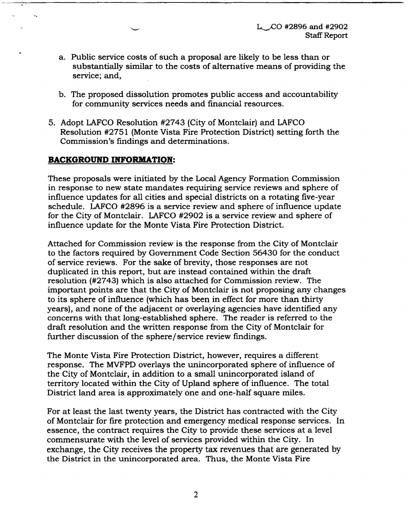$L_{\sim}$ CO #2896 and #2902 Staff Report

- a. Public service costs of such a proposal are likely to be less than or substantially similar to the costs of alternative means of providing the service; and,
- b. The proposed dissolution promotes public access and accountability for community services needs and financial resources.
- 5. Adopt LAFCO Resolution #2743 (City of Montclair) and LAFCO Resolution #2751 (Monte Vista Fire Protection District) setting forth the Commission's findings and determinations.

# **BACKGROUND INFORMATION:**

 $\mathbf{v}_k$ 

These proposals were initiated by the Local Agency Formation Commission in response to new state mandates requiring service reviews and sphere of influence updates for all cities and special districts on a rotating five-year schedule. LAFCO #2896 is a service review and sphere of influence update for the City of Montclair. LAFCO #2902 is a service review and sphere of influence update for the Monte Vista Fire Protection District.

Attached for Commission review is the response from the City of Montclair to the factors required by Government Code Section 56430 for the conduct of service reviews. For the sake of brevity, those responses are not duplicated in this report, but are instead contained within the draft resolution (#2743) which is also attached for Commission review. The important points are that the City of Montclair is not proposing any changes to its sphere of influence (which has been in effect for more than thirty years), and none of the adjacent or overlaying agencies have identified any concerns with that long-established sphere. The reader is referred to the draft resolution and the written response from the City of Montclair for further discussion of the sphere/service review findings.

The Monte Vista Fire Protection District, however, requires a different response. The MVFPD overlays the unincorporated sphere of influence of the City of Montclair, in addition to a small unincorporated island of territory located within the City of Upland sphere of influence. The total District land area is approximately one and one-half square miles.

For at least the last twenty years, the District has contracted with the City of Montclair for fire protection and emergency medical response services. In essence, the contract requires the City to provide these services at a level commensurate with the level of services provided within the City. In exchange, the City receives the property tax revenues that are generated by the District in the unincorporated area. Thus, the Monte Vista Fire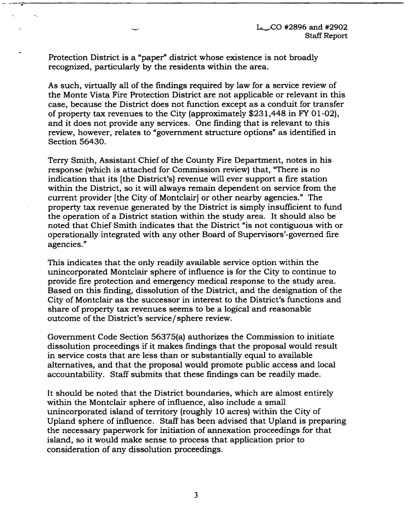Protection District is a "paper" district whose existence is not broadly recognized, particularly by the residents within the area.

ć.

As such, virtually all of the findings required by law for a service review of the Monte Vista Fire Protection District are not applicable or relevant in this case, because the District does not function except as a conduit for transfer of property tax revenues to the City (approximately \$231,448 in FY O 1-02), and it does not provide any services. One finding that is relevant to this review, however, relates to "government structure options" as identified in Section 56430.

Terry Smith, Assistant Chief of the County Fire Department, notes in his response (which is attached for Commission review) that, "There is no indication that its {the District's) revenue will ever support a fire station within the District, so it will always remain dependent on service from the current provider [the City of Montclair] or other nearby agencies." The property tax revenue generated by the District is simply insufficient to fund the operation of a District station within the study area. It should also be noted that Chief Smith indicates that the District "is not contiguous with or operationally integrated with any other Board of Supervisors'-govemed fire agencies."

This indicates that the only readily available service option within the unincorporated Montclair sphere of influence is for the City to continue to provide fire protection and emergency medical response to the study area. Based on this finding, dissolution of the District, and the designation of the City of Montclair as the successor in interest to the District's functions and share of property tax revenues seems to be a logical and reasonable outcome of the District's service/ sphere review.

Government Code Section 56375(a) authorizes the Commission to initiate dissolution proceedings if it makes findings that the proposal would result in service costs that are less than or substantially equal to available alternatives, and that the proposal would promote public access and local accountability. Staff submits that these findings can be readily made.

It should be noted that the District boundaries, which are almost entirely within the Montclair sphere of influence, also include a small unincorporated island of territory (roughly 10 acres) within the City of Upland sphere of influence. Staff has been advised that Upland is preparing the necessary paperwork for initiation of annexation proceedings for that island, so it would make sense to process that application prior to consideration of any dissolution proceedings.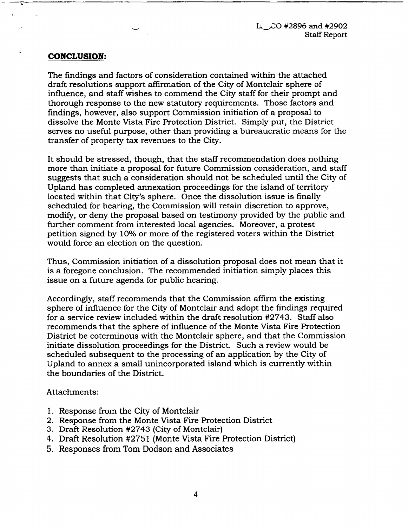$L \sim$ CO #2896 and #2902 Staff Report

# **CONCLUSION:**

 $\mathbf{A}$ 

цч.

 $\ddot{\phantom{a}}$  .

The findings and factors of consideration contained within the attached draft resolutions support affirmation of the City of Montclair sphere of influence, and staff wishes to commend the City staff for their prompt and thorough response to the new statutory requirements. Those factors and findings, however, also support Commission initiation of a proposal to dissolve the Monte Vista Fire Protection District. Simply put, the District serves no useful purpose, other than providing a bureaucratic means for the transfer of property tax revenues to the City.

It should be stressed, though, that the staff recommendation does nothing more than initiate a proposal for future Commission consideration, and staff suggests that such a consideration should not be scheduled until the City of Upland has completed annexation proceedings for the island of territory located within that City's sphere. Once the dissolution issue is finally scheduled for hearing, the Commission will retain discretion to approve, modify, or deny the proposal based on testimony provided by the public and further comment from interested local agencies. Moreover, a protest petition signed by 10% or more of the registered voters within the District would force an election on the question.

Thus, Commission initiation of a dissolution proposal does not mean that it is a foregone conclusion. The recommended initiation simply places this issue on a future agenda for public hearing.

Accordingly, staff recommends that the Commission affirm the existing sphere of influence for the City of Montclair and adopt the findings required for a service review included within the draft resolution #2743. Staff also recommends that the sphere of influence of the Monte Vista Fire Protection District be coterminous with the Montclair sphere, and that the Commission initiate dissolution proceedings for the District. Such a review would be scheduled subsequent to the processing of an application by the City of Upland to annex a small unincorporated island which is currently within the boundaries of the District.

Attachments:

- 1. Response from the City of Montclair
- 2. Response from the Monte Vista Fire Protection District
- 3. Draft Resolution #2743 (City of Montclair)
- 4. Draft Resolution #2751 (Monte Vista Fire Protection District)
- 5. Responses from Tom Dodson and Associates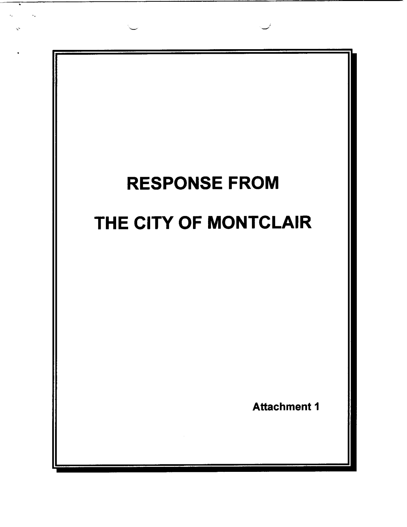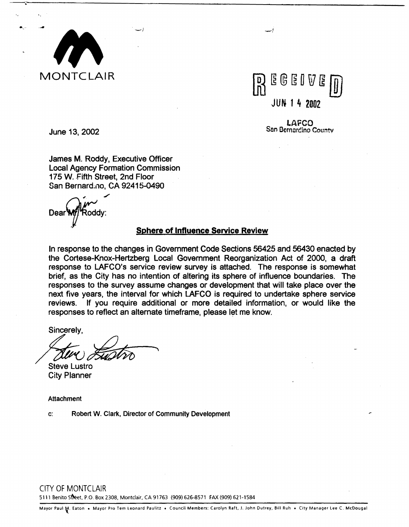

June 13, 2002



LAFCO Sen Ocrnorcino Countv

James M. Roddy, Executive Officer Local Agency Formation Commission 175 W. Fifth Street, 2nd Floor

San Bernard;no, CA 92415-0490

 $\lambda$ Dear **Will** Roddy:

# **Sphere of Influence Service Review**

In response to the changes in Government Code Sections 56425 and 56430 enacted by the Cortese-Knox-Hertzberg Local Government Reorganization Act of 2000, a draft response to LAFCO's service review survey is attached. The response is somewhat brief, as the City has no intention of altering its sphere of influence boundaries. The responses to the survey assume changes or development that will take place over the next five years, the interval for which LAFCO is required to undertake sphere service reviews. If you require additional or more detailed information, or would like the responses to reflect an alternate timeframe, please let me know.

Sincerely,<br>Steve Lustro<br>Steve Lustro

City Planner

Attachment

c: Robert W. Clark, Director of Community Development

CITY OF MONTCLAIR

5111 Benito Street, P.O. Box 2308, Montclair, CA 91763 (909) 626-8571 FAX (909) 621-1584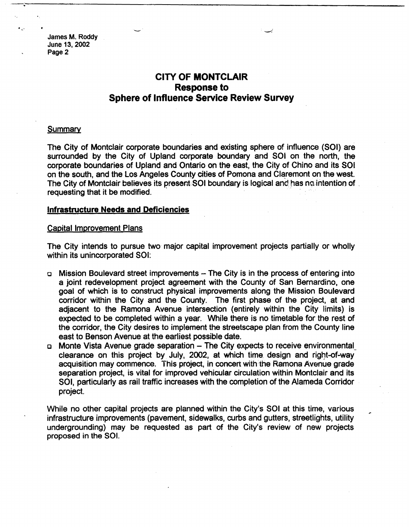# **CITY OF MONTCLAIR Response to Sphere of Influence Service Review Survey**

#### **Summary**

The City of Montclair corporate boundaries and existing sphere of influence (SOI) are surrounded by the City of Upland corporate boundary and SOI on the north, the corporate boundaries of Upland and Ontario on the east, the City of Chino and its SOI on the south, and the Los Angeles County cities of Pomona and Claremont on the west. The City of Montclair believes its present:SOI boundary is logical and has no intention of .<br>requesting that it be modified.

#### **Infrastructure Needs and Deficiencies**

#### Capital Improvement Plans

The City intends to pursue two-major capital improvement projects partially or wholly within its unincorporated SOI:

- □ Mission Boulevard street improvements The City is in the process of entering into a joint redevelopment project agreement with the County of San Bernardino, one goal of which is to construct physical improvements along the Mission Boulevard corridor within the City and the County. The first phase of the project, at and adjacent to the Ramona Avenue intersection (entirely within the City limits) is expected to be completed within a year. While there is no timetable for the rest of the corridor, the City desires to implement the streetscape plan from the County line east to Benson Avenue at the earliest possible date.
- □ Monte Vista Avenue grade separation The City expects to receive environmental clearance on this project by July, 2002, at which time design and right-of-way acquisition may commence. This project, in concert with the Ramona Avenue grade separation project, is vital for improved vehicular circulation within Montclair and its SOI, particularly as rail traffic increases with the completion of the Alameda Corridor project.

While no other capital projects are planned within the City's SOI at this time, various infrastructure improvements (pavement, sidewalks, curbs and gutters, streetlights, utility undergrounding) may be requested as part of the City's review of new projects proposed in the SOI.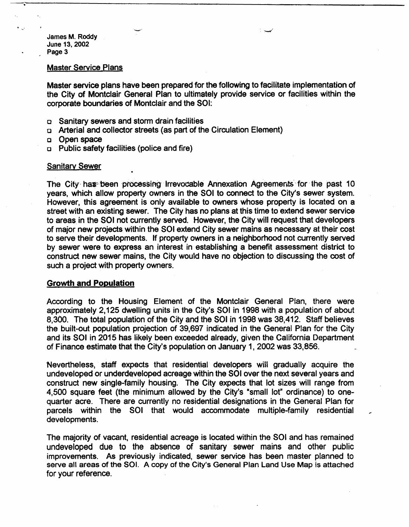#### Master Service Plans

Master service plans have been prepared for the following to facilitate implementation of the City of Montclair General Plan to ultimately provide service or facilities within the corporate boundaries of Montclair and the SOI:

- □ Sanitary sewers and storm drain facilities
- □ Arterial and collector streets (as part of the Circulation Element)
- □ Open space
- □ Public safety facilities {police and fire)

#### **Sanitary Sewer**

The City har been processing irrevocable Annexation Agreements for the past 10 years, which allow property owners in the SOI to connect to the City's sewer system. However, this agreement is only available to owners whose property is located on a street with an existing sewer. The City has no plans at this time to extend sewer service to areas in the SOI not currently served. However, the City will request that developers of major new projects within the SOI extend City sewer mains as necessary at their cost to serve their developments. If property owners in a neighborhood not currently served by sewer were to express an interest in establishing a benefit assessment district to construct new sewer mains, the City would have no objection to discussing the cost of such a project with property owners.

#### **Growth and Population**

According to the Housing Element of the Montclair General Plan, there were approximately 2,125 dwelling units in the City's SOI in 1998 with a population of about 8,300. The total population of the City and the SOI in 1998 was 38,412. Staff believes the built-out population projection of 39,697 indicated in the General Plan for the City and its SOI in 2015 has likely been exceeded already, given the California Department of Finance estimate that the City's population on January 1, 2002 was 33,856.

Nevertheless, staff expects that residential developers will gradually acquire the undeveloped or underdeveloped acreage within the SOI over the next several years and construct new single-family housing. The City expects that lot sizes will range from 4,500 square feet (the minimum allowed by the City's •small lot" ordinance) to onequarter acre. There are currently no residential designations in the General Plan for parcels within the SOI that would accommodate multiple-family residential developments.

The majority of vacant, residential acreage is located within the SOI and has remained undeveloped due to the absence of sanitary sewer mains and other public improvements. As previously indicated, sewer service has been master planned to serve all areas of the SOI. A copy of the City's General Plan Land Use Map is attached for your reference.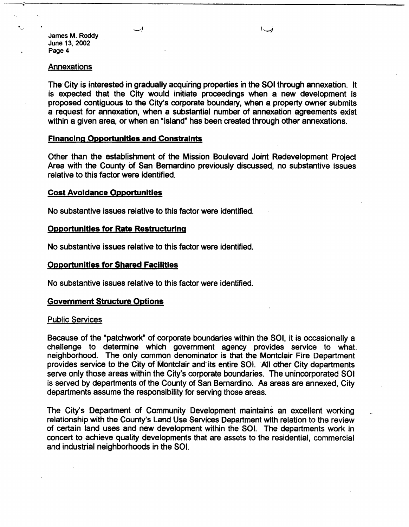#### Annexations

The City is interested in gradually acquiring properties in the SOI through annexation. It is expected that the City would initiate proceedings when a new development is proposed contiguous to the City's corporate boundary, when a property owner submits a request for annexation, when a substantial number of annexation agreements exist within a given area, or when an "island" has been created through other annexations.

### **Financing Opportunities and Constraints**

Other than the establishment of the Mission· Boulevard Joint Redevelopment Project Area with the County of San Bernardino previously discussed, no substantive issues relative to this factor were identified.

#### **Cost Avoidance Opportunities**

No substantive issues relative to this factor were identified.

## **Opportunities for Rate Restructuring**

No substantive issues relative to this factor were identified.

# **Opportunities for Shared Facilities**

No substantive issues relative to this factor were identified.

#### **Government Structure Options**

#### Public Services

Because of the "patchwork" of corporate boundaries within the SOI, it is occasionally a challenge to determine which government agency provides service to what neighborhood. The only common denominator is that the Montclair Fire Department provides service to the City of Montclair and its entire SOI. All other City departments serve only those areas within the City's corporate boundaries. The unincorporated SOI is served by departments of the County of San Bernardino. As areas are annexed, City departments assume the responsibility for serving those areas.

The City's Department of Community Development maintains an excellent working relationship with the County's Land Use Services Department with relation to the review of certain land uses and new development within the 501. The departments work in concert to achieve quality developments that are assets to the residential, commercial and industrial neighborhoods in the SOI.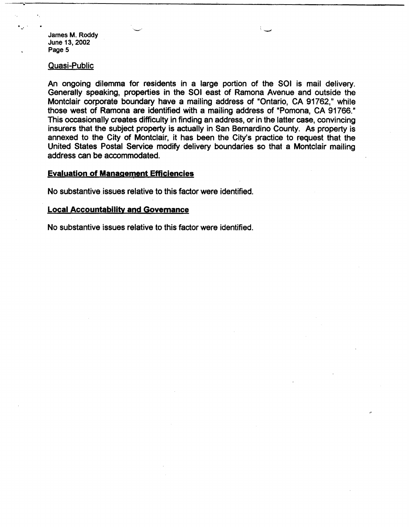. ' -·

#### Quasi-Public

An ongoing dilemma for residents in a large portion of the SOI is mail delivery. Generally speaking, properties in the SOI east of Ramona Avenue and outside the Montclair corporate boundary have a mailing address of "Ontario, CA 91762," while those west of Ramona are identified with a mailing address of "Pomona, CA 91766." This occasionally creates difficulty in finding an address, or in the latter case, convincing insurers that the subject property is actually in San Bernardino County. As property is annexed to the City of Montclair, it has been the City's practice to request that the United States Postal Service modify delivery boundaries so that a Montclair mailing address can be accommodated.

---,;;------------------------------------------

-

#### **Evaluation of Management Efficiencies**

No substantive. issues relative to this factor were identified.

#### **Local Accountability and Govemance**

No substantive issues relative to this factor were identified.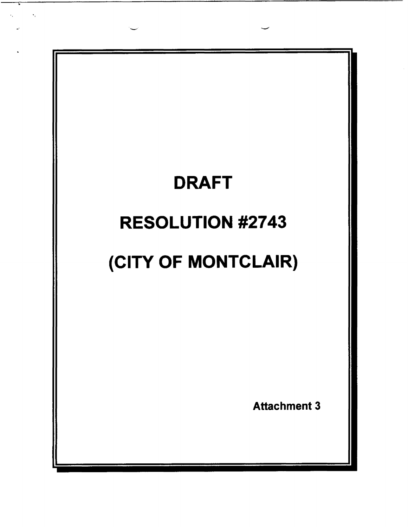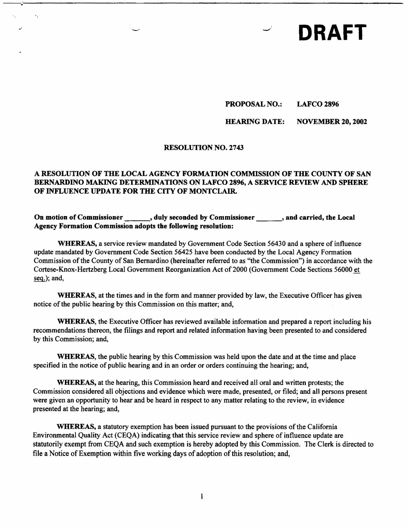# **DRAFT**

# **PROPOSAL NO.: LAFCO 2896**

# **HEARING DATE: NOVEMBER 20, 2002**

# **RESOLUTION NO. 2743**

--,;--------------------------------------------

 $\bullet$  .

# **A RESOLUTION OF THE LOCAL AGENCY FORMATION COMMISSION OF THE COUNTY OF SAN BERNARDINO MAKING DETERMINATIONS ON LAFCO 2896, A SERVICE REVIEW AND SPHERE OF INFLUENCE UPDATE FOR THE** CITY **OF MONTCLAIR.**

# On motion of Commissioner  $\qquad \qquad$ , duly seconded by Commissioner  $\qquad \qquad$ , and carried, the Local **Agency Formation Commission adopts the following resolution:**

**WHEREAS,** a service review mandated by Government Code Section 56430 and a sphere of influence update mandated by Government Code Section 56425 have been conducted by the Local Agency Formation Commission of the County of San Bernardino (hereinafter referred to as "the Commission") in accordance with the Cortese-Knox-Hertzberg Local Government Reorganization Act of2000 (Government Code Sections 56000 et seq.); and,

**WHEREAS,** at the times and in the form and manner provided by law, the Executive Officer has given notice of the public hearing by this Commission on this matter; and,

**WHEREAS,** the Executive Officer has reviewed available information and prepared a report including his recommendations thereon, the filings and report and related information having been presented to and considered by this Commission; and,

**WHEREAS,** the public hearing by this Commission was held upon the date and at the time and place specified in the notice of public hearing and in an order or orders continuing the hearing; and,

**WHEREAS,** at the hearing, this Commission heard and received all oral and written protests; the Commission considered all objections and evidence which were made, presented, or filed; and all persons present were given an opportunity to hear and be heard in respect to any matter relating to the review, in evidence presented at the hearing; and,

**WHEREAS,** a statutory exemption has been issued pursuant to the provisions of the California Environmental Quality Act (CEQA) indicating that this service review and sphere of influence update are statutorily exempt from CEQA and such exemption is hereby adopted by this Commission. The Clerk is directed to file a Notice of Exemption within five working days of adoption of this resolution; and,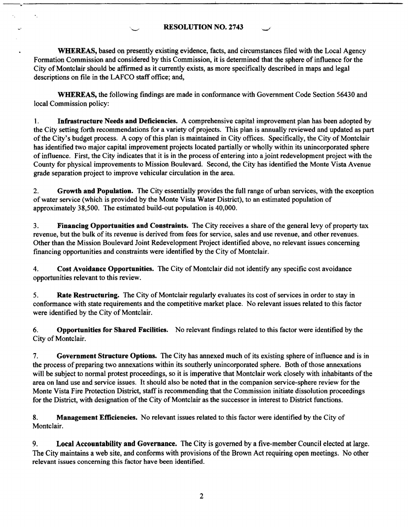# **RESOLUTION NO. 2743**

 $\ddot{\phantom{a}}$ 

**WHEREAS,** based on presently existing evidence, facts, and circumstances filed with the Local Agency Formation Commission and considered by this Commission, it is determined that the sphere of influence for the City of Montclair should be affirmed as it currently exists, as more specifically described in maps and legal descriptions on file in the LAFCO staff office; and,

**WHEREAS,** the following findings are made in conformance with Government Code Section 56430 and local Commission policy:

1. **Infrastructure Needs and Deficiencies.** A comprehensive capital improvement plan has been adopted by the City setting forth recommendations for a variety of projects. This plan is annually reviewed and updated as part of the City's budget process. A copy of this plan is maintained in City offices. Specifically, the City of Montclair has identified two major capital improvement projects located partially or wholly within its unincorporated sphere of influence. First, the City indicates that it is in the process of entering into a joint redevelopment project with the County for physical improvements to Mission Boulevard. Second, the City has identified the Monte Vista Avenue grade separation project to improve vehicular circulation in the area.

2. **Growth and Population.** The City essentially provides the full range of urban services, with the exception of water service (which is provided by the Monte Vista Water District), to an estimated population of approximately 38,500. The estimated build-out population is 40,000.

3. **Financing Opportunities and Constraints.** The City receives a share of the general levy of property tax revenue, but the bulk of its revenue is derived from fees for service, sales and use revenue, and other revenues. Other than the Mission Boulevard Joint Redevelopment Project identified above, no relevant issues concerning financing opportunities and constraints were identified by the City of Montclair.

4. **Cost Avoidance Opportunities.** The City of Montclair did not identify any specific cost avoidance opportunities relevant to this review.

5. **Rate Restructuring.** The City of Montclair regularly evaluates its cost of services in order to stay in conformance with state requirements and the competitive market place. No relevant issues related to this factor were identified by the City of Montclair.

6. **Opportunities for Shared Facilities.** No relevant findings related to this factor were identified by the City of Montclair.

7. **Government Structure Options.** The City has annexed much of its existing sphere of influence and is in the process of preparing two annexations within its southerly unincorporated sphere. Both of those annexations will be subject to normal protest proceedings, so it is imperative that Montclair work closely with inhabitants of the area on land use and service issues. It should also be noted that in the companion service-sphere review for the Monte Vista Fire Protection District, staff is recommending that the Commission initiate dissolution proceedings for the District, with designation of the City of Montclair as the successor in interest to District functions.

8. **Management Efficiencies.** No relevant issues related to this factor were identified by the City of Montclair.

9. **Local Accountability and Governance.** The City is governed by a five-member Council elected at large. The City maintains a web site, and conforms with provisions of the Brown Act requiring open meetings. No other relevant issues concerning this factor have been identified.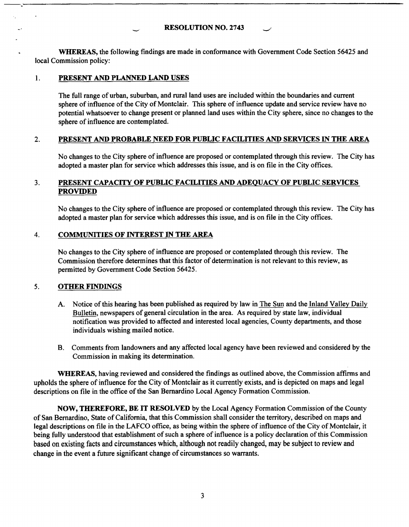# **RESOLUTION NO. 2743**

**WHEREAS,** the following findings are made in conformance with Government Code Section 56425 and local Commission policy:

## 1. **PRESENT AND PLANNED LAND USES**

The full range of urban, suburban, and rural land uses are included within the boundaries and current sphere of influence of the City of Montclair. This sphere of influence update and service review have no potential whatsoever to change present or planned land uses within the City sphere, since no changes to the sphere of influence are contemplated.

# 2. **PRESENT AND PROBABLE NEED FOR PUBLIC FACILITIES AND SERVICES** IN **THE AREA**

No changes to the City sphere of influence are proposed or contemplated through this review. The City has adopted a master plan for service which addresses this issue, and is on file in the City offices.

# 3. **PRESENT CAPACITY OF PUBLIC FACILITIES AND ADEQUACY OF PUBLIC SERVICES PROVIDED**

No changes to the City sphere of influence are proposed or contemplated through this review. The City has adopted a master plan for service which addresses this issue, and is on file in the City offices.

#### 4. **COMMUNITIES OF INTEREST** IN **THE AREA**

No changes to the City sphere of influence are proposed or contemplated through this review. The Commission therefore determines that this factor of determination is not relevant to this review, as permitted by Government Code Section 56425.

# 5. **OTHER FINDINGS**

- A. Notice of this hearing has been published as required by law in The Sun and the Inland Valley Daily Bulletin, newspapers of general circulation in the area. As required by state law, individual notification was provided to affected and interested local agencies, County departments, and those individuals wishing mailed notice.
- B. Comments from landowners and any affected local agency have been reviewed and considered by the Commission in making its determination.

**WHEREAS,** having reviewed and considered the findings as outlined above, the Commission affirms and upholds the sphere of influence for the City of Montclair as it currently exists, and is depicted on maps and legal descriptions on file in the office of the San Bernardino Local Agency Formation Commission.

**NOW, THEREFORE, BE IT RESOLVED** by the Local Agency Formation Commission of the County of San Bernardino, State of California, that this Commission shall consider the territory, described on maps and legal descriptions on file in the LAFCO office, as being within the sphere of influence of the City of Montclair, it being fully understood that establishment of such a sphere of influence is a policy declaration of this Commission based on existing facts and circumstances which, although not readily changed, may be subject to review and change in the event a future significant change of circumstances so warrants.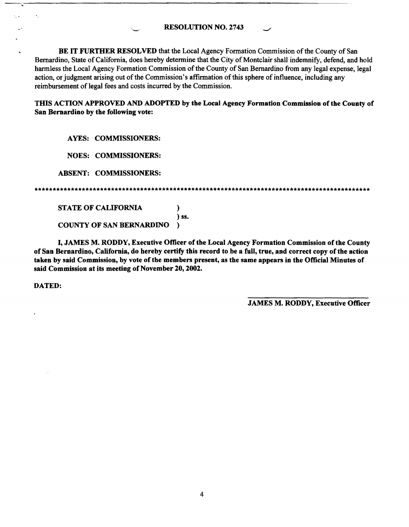**RESOLUTION NO. 2743** 

**BE** IT **FURTHER RESOLVED** that the Local Agency Fonnation Commission of the County of San Bernardino, State of California, does hereby detennine that the City of Montclair shall indemnify, defend, and hold harmless the Local Agency Formation Commission of the County of San Bernardino from any legal expense, legal action, or judgment arising out of the Commission's affinnation of this sphere of influence, including any reimbursement of legal fees and costs incurred by the Commission.

**TIDS ACTION APPROVED AND ADOPTED by the Local Agency Formation Commission of the County of San Bernardino by the following vote:** 

**AYES: COMMISSIONERS:** 

**NOES: COMMISSIONERS:** 

**ABSENT: COMMISSIONERS:** 

) **ss.** 

**STATE OF CALIFORNIA** )

**COUNTY OF SAN BERNARDINO** )

I, **JAMES M. RODDY, Executive Officer of the Local Agency Formation Commission of the County of San Bernardino, California, do hereby certify this record to be a full, true, and correct copy of the action**  taken by said Commission, by vote of the members present, as the same appears in the Official Minutes of **said Commission at its meeting of November 20, 2002.** 

**DATED:** 

 $\epsilon_{\rm i}$ 

**JAMES M. RODDY, Executive Officer**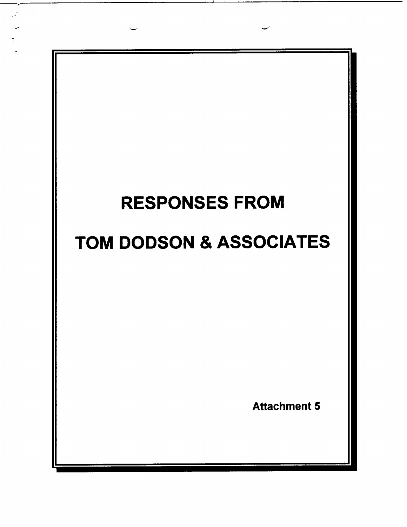

.. . -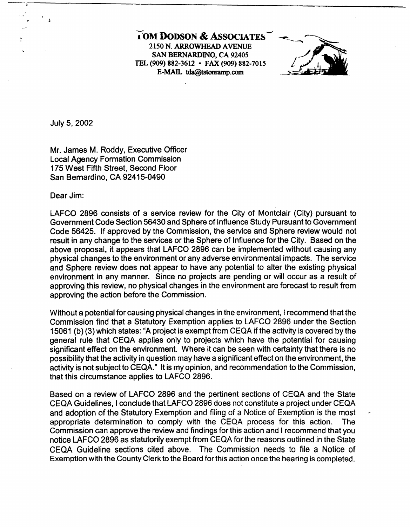**7OM DODSON & ASSOCIATES**<br>2150 N. ARROWHEAD AVENUE TEL (909) **882-3612**  • FAX (909) 882-7015 **SAN BERNARDINO, CA**  92405 **E-MAD.. tda@tstomamp.com** 



July 5, 2002

Mr. James M. Roddy, Executive Officer Local Agency Formation Commission 175 West Fifth Street, Second Floor San Bernardino, CA 92415-0490

Dear Jim:

LAFCO 2896 consists of a service review for the City of Montclair (City) pursuant to Government Code Section 56430 and Sphere of Influence Study Pursuant to Government Code 56425. If approved by the Commission, the service and Sphere review would not result in any change to the services or the Sphere of Influence for the City. Based on the above proposal, it appears that LAFCO 2896 can be implemented without causing any physical changes to the environment or any adverse environmental impacts. The service and Sphere review does not appear to have any potential to alter the existing physical environment in any manner. Since no projects are pending or will occur as a result of approving this review, no physical changes in the environment are forecast to result from approving the action before the Commission.

Without a potential for causing physical changes in the environment, I recommend that the Commission find that a Statutory Exemption applies to LAFCO 2896 under the Section 15061 (b) (3) which states: "A project is exempt from CEQA if the activity is covered by the general rule that CEQA applies only to projects which have the potential for causing significant effect on the environment. Where it can be seen with certainty that there is no possibility that the activity in question may have a significant effect on the environment, the activity is not subject to CEQA." It is my opinion, and recommendation to the Commission, that this circumstance applies to LAFCO 2896.

Based on a review of LAFCO 2896 and the pertinent sections of CEQA and the State CEQA Guidelines, I conclude that LAFCO 2896 does not constitute a project under CEQA and adoption of the Statutory Exemption and filing of a Notice of Exemption is the most appropriate determination to comply with the CEQA process for this action. The Commission can approve the review and findings for this action and I recommend that you notice LAFCO 2896 as statutorily exempt from CEQA for the reasons outlined in the State CEQA Guideline sections cited above. The Commission needs to file a Notice of Exemption with the County Clerk to the Board for this action once the hearing is completed.